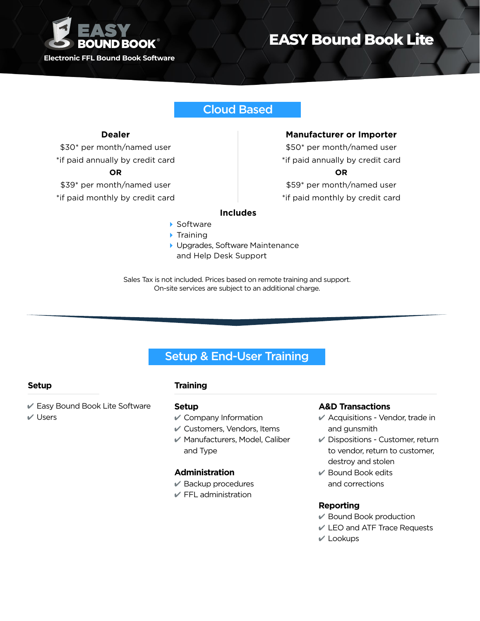

# **EASY Bound Book Lite**

## Cloud Based

#### **Dealer**

\$30\* per month/named user

\*if paid annually by credit card

#### **OR**

\$39\* per month/named user

\*if paid monthly by credit card

#### **Manufacturer or Importer**

\$50\* per month/named user \*if paid annually by credit card **OR** \$59\* per month/named user

\*if paid monthly by credit card

### **Includes**

- ▶ Software
- $\blacktriangleright$  Training
- 4 Upgrades, Software Maintenance and Help Desk Support

Sales Tax is not included. Prices based on remote training and support. On-site services are subject to an additional charge.

## Setup & End-User Training

## **Setup Training**

4 Easy Bound Book Lite Software  $V$  Users

#### **Setup**

- $\mathscr V$  Company Information
- $\mathcal V$  Customers, Vendors, Items
- $\mathscr V$  Manufacturers, Model, Caliber and Type

#### **Administration**

- $\vee$  Backup procedures
- $\mathcal V$  FFL administration

#### **A&D Transactions**

- $\mathscr V$  Acquisitions Vendor, trade in and gunsmith
- $\vee$  Dispositions Customer, return to vendor, return to customer, destroy and stolen
- $\mathcal V$  Bound Book edits and corrections

#### **Reporting**

- $\mathscr V$  Bound Book production
- 4 LEO and ATF Trace Requests
- $V$  Lookups